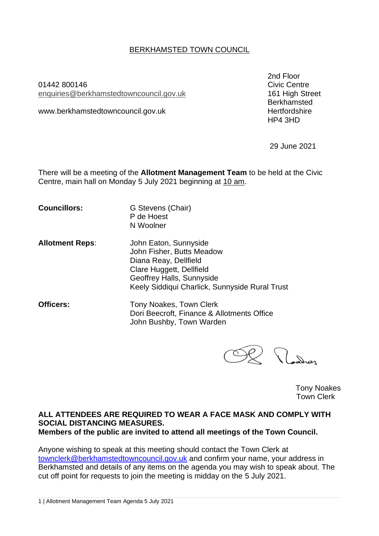## BERKHAMSTED TOWN COUNCIL

01442 800146 Civic Centre enquiries[@berkhamstedtowncouncil.gov.uk](mailto:berkhamsted.towncouncil@dacorum.gov.uk) 161 High Street

www.berkhamstedtowncouncil.gov.uk

2nd Floor Berkhamsted<br>Hertfordshire HP4 3HD

29 June 2021

There will be a meeting of the **Allotment Management Team** to be held at the Civic Centre, main hall on Monday 5 July 2021 beginning at 10 am.

**Councillors:** G Stevens (Chair)

- P de Hoest N Woolner
- **Allotment Reps**: John Eaton, Sunnyside John Fisher, Butts Meadow Diana Reay, Dellfield Clare Huggett, Dellfield Geoffrey Halls, Sunnyside Keely Siddiqui Charlick, Sunnyside Rural Trust
- **Officers:** Tony Noakes, Town Clerk Dori Beecroft, Finance & Allotments Office John Bushby, Town Warden

Plachas

Tony Noakes Town Clerk

#### **ALL ATTENDEES ARE REQUIRED TO WEAR A FACE MASK AND COMPLY WITH SOCIAL DISTANCING MEASURES. Members of the public are invited to attend all meetings of the Town Council.**

Anyone wishing to speak at this meeting should contact the Town Clerk at [townclerk@berkhamstedtowncouncil.gov.uk](mailto:townclerk@berkhamstedtowncouncil.gov.uk) and confirm your name, your address in Berkhamsted and details of any items on the agenda you may wish to speak about. The cut off point for requests to join the meeting is midday on the 5 July 2021.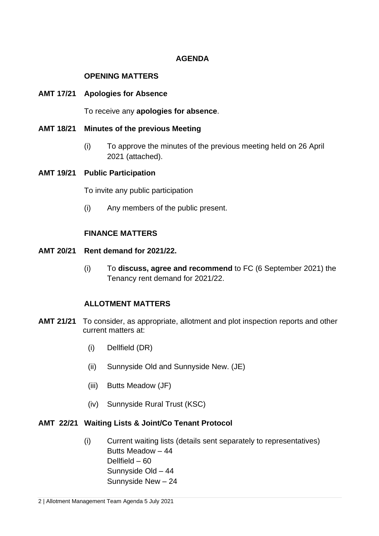# **AGENDA**

#### **OPENING MATTERS**

#### **AMT 17/21 Apologies for Absence**

To receive any **apologies for absence**.

- **AMT 18/21 Minutes of the previous Meeting** 
	- (i) To approve the minutes of the previous meeting held on 26 April 2021 (attached).

### **AMT 19/21 Public Participation**

To invite any public participation

(i) Any members of the public present.

# **FINANCE MATTERS**

#### **AMT 20/21 Rent demand for 2021/22.**

(i) To **discuss, agree and recommend** to FC (6 September 2021) the Tenancy rent demand for 2021/22.

#### **ALLOTMENT MATTERS**

- **AMT 21/21** To consider, as appropriate, allotment and plot inspection reports and other current matters at:
	- (i) Dellfield (DR)
	- (ii) Sunnyside Old and Sunnyside New. (JE)
	- (iii) Butts Meadow (JF)
	- (iv) Sunnyside Rural Trust (KSC)

# **AMT 22/21 Waiting Lists & Joint/Co Tenant Protocol**

(i) Current waiting lists (details sent separately to representatives) Butts Meadow – 44 Dellfield – 60 Sunnyside Old – 44 Sunnyside New – 24